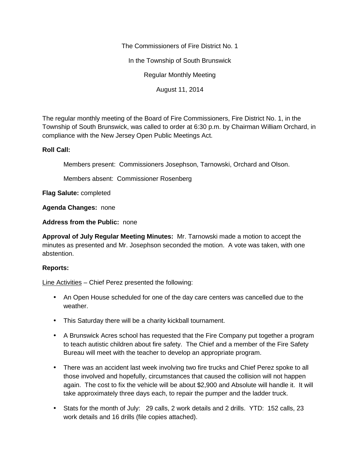The Commissioners of Fire District No. 1

In the Township of South Brunswick

Regular Monthly Meeting

August 11, 2014

The regular monthly meeting of the Board of Fire Commissioners, Fire District No. 1, in the Township of South Brunswick, was called to order at 6:30 p.m. by Chairman William Orchard, in compliance with the New Jersey Open Public Meetings Act.

## **Roll Call:**

Members present: Commissioners Josephson, Tarnowski, Orchard and Olson.

Members absent: Commissioner Rosenberg

**Flag Salute:** completed

**Agenda Changes:** none

**Address from the Public:** none

**Approval of July Regular Meeting Minutes:** Mr. Tarnowski made a motion to accept the minutes as presented and Mr. Josephson seconded the motion. A vote was taken, with one abstention.

## **Reports:**

Line Activities – Chief Perez presented the following:

- An Open House scheduled for one of the day care centers was cancelled due to the weather.
- This Saturday there will be a charity kickball tournament.
- A Brunswick Acres school has requested that the Fire Company put together a program to teach autistic children about fire safety. The Chief and a member of the Fire Safety Bureau will meet with the teacher to develop an appropriate program.
- There was an accident last week involving two fire trucks and Chief Perez spoke to all those involved and hopefully, circumstances that caused the collision will not happen again. The cost to fix the vehicle will be about \$2,900 and Absolute will handle it. It will take approximately three days each, to repair the pumper and the ladder truck.
- Stats for the month of July: 29 calls, 2 work details and 2 drills. YTD: 152 calls, 23 work details and 16 drills (file copies attached).